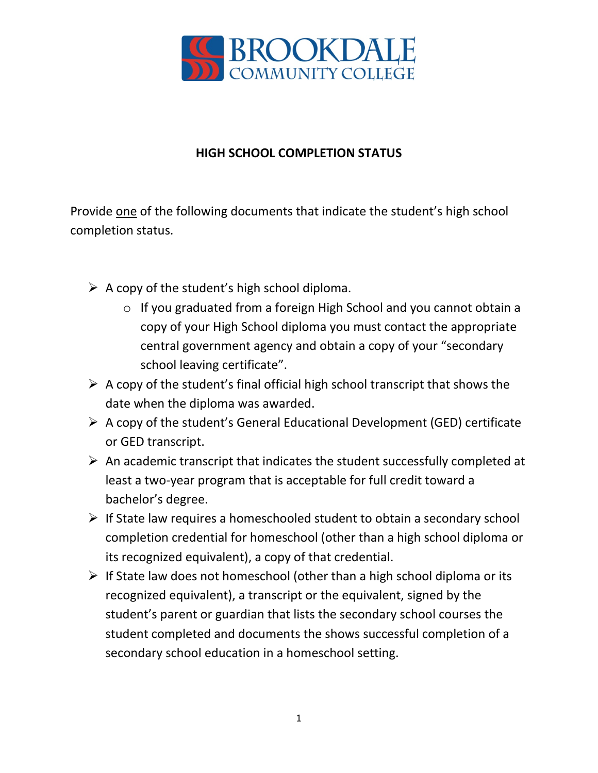

## **HIGH SCHOOL COMPLETION STATUS**

Provide one of the following documents that indicate the student's high school completion status.

- $\triangleright$  A copy of the student's high school diploma.
	- o If you graduated from a foreign High School and you cannot obtain a copy of your High School diploma you must contact the appropriate central government agency and obtain a copy of your "secondary school leaving certificate".
- $\triangleright$  A copy of the student's final official high school transcript that shows the date when the diploma was awarded.
- $\triangleright$  A copy of the student's General Educational Development (GED) certificate or GED transcript.
- $\triangleright$  An academic transcript that indicates the student successfully completed at least a two-year program that is acceptable for full credit toward a bachelor's degree.
- $\triangleright$  If State law requires a homeschooled student to obtain a secondary school completion credential for homeschool (other than a high school diploma or its recognized equivalent), a copy of that credential.
- $\triangleright$  If State law does not homeschool (other than a high school diploma or its recognized equivalent), a transcript or the equivalent, signed by the student's parent or guardian that lists the secondary school courses the student completed and documents the shows successful completion of a secondary school education in a homeschool setting.